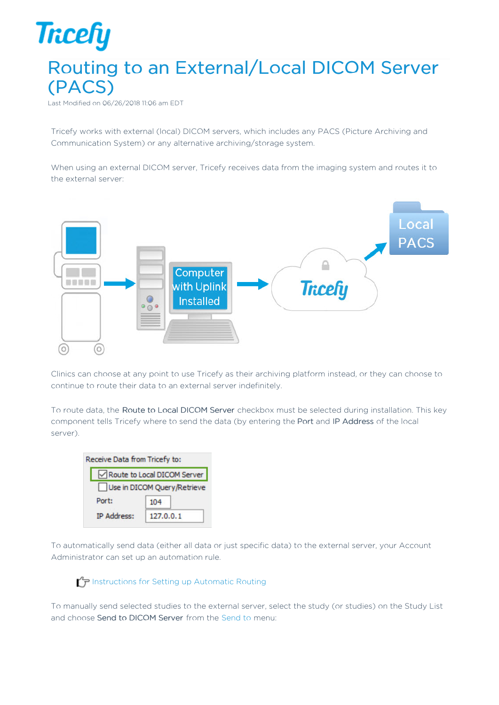## **Tricefy** Routing to an External/Local DICOM Server (PACS)

Last Modified on 06/26/2018 11:06 am EDT

Tricefy works with external (local) DICOM servers, which includes any PACS (Picture Archiving and Communication System) or any alternative archiving/storage system.

When using an external DICOM server, Tricefy receives data from the imaging system and routes it to the external server:



Clinics can choose at any point to use Tricefy as their archiving platform instead, or they can choose to continue to route their data to an external server indefinitely.

To route data, the Route to Local DICOM Server checkbox must be selected during installation. This key component tells Tricefy where to send the data (by entering the Port and IP Address of the local server).

| Receive Data from Tricefy to: |                             |  |  |  |  |
|-------------------------------|-----------------------------|--|--|--|--|
| Route to Local DICOM Server   |                             |  |  |  |  |
|                               | Use in DICOM Query/Retrieve |  |  |  |  |
| Port:                         | 104                         |  |  |  |  |
| <b>IP Address:</b>            | 127.0.0.1                   |  |  |  |  |

To automatically send data (either all data or just specific data) to the external server, your Account Administrator can set up an automation rule.

I $\Gamma$  Instructions for Setting up Automatic Routing

To manually send selected studies to the external server, select the study (or studies) on the Study List and choose Send to DICOM Server from the Send to menu: